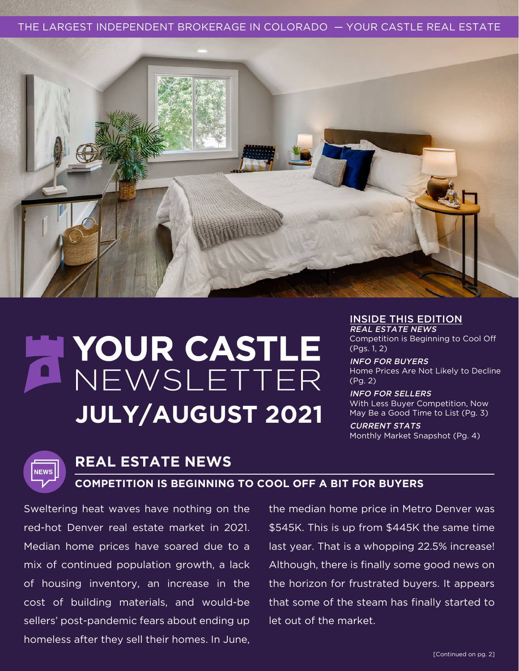THE LARGEST INDEPENDENT BROKERAGE IN COLORADO — YOUR CASTLE REAL ESTATE



# NOUR CASTLE **JULY/AUGUST 2021**

#### INSIDE THIS EDITION

REAL ESTATE NEWS Competition is Beginning to Cool Off (Pgs. 1, 2)

INFO FOR BUYERS Home Prices Are Not Likely to Decline (Pg. 2)

INFO FOR SELLERS With Less Buyer Competition, Now May Be a Good Time to List (Pg. 3)

CURRENT STATS Monthly Market Snapshot (Pg. 4)



# **REAL ESTATE NEWS**

#### **COMPETITION IS BEGINNING TO COOL OFF A BIT FOR BUYERS**

Sweltering heat waves have nothing on the red-hot Denver real estate market in 2021. Median home prices have soared due to a mix of continued population growth, a lack of housing inventory, an increase in the cost of building materials, and would-be sellers' post-pandemic fears about ending up homeless after they sell their homes. In June,

the median home price in Metro Denver was \$545K. This is up from \$445K the same time last year. That is a whopping 22.5% increase! Although, there is finally some good news on the horizon for frustrated buyers. It appears that some of the steam has finally started to let out of the market.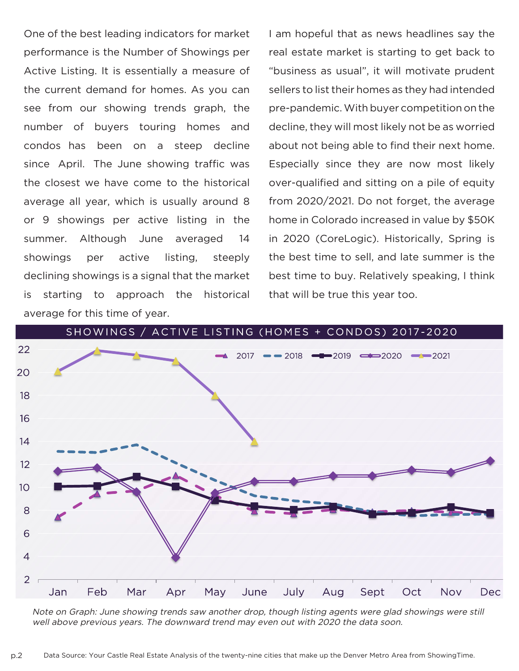One of the best leading indicators for market performance is the Number of Showings per Active Listing. It is essentially a measure of the current demand for homes. As you can see from our showing trends graph, the number of buyers touring homes and condos has been on a steep decline since April. The June showing traffic was the closest we have come to the historical average all year, which is usually around 8 or 9 showings per active listing in the summer. Although June averaged 14 showings per active listing, steeply declining showings is a signal that the market is starting to approach the historical average for this time of year.

I am hopeful that as news headlines say the real estate market is starting to get back to "business as usual", it will motivate prudent sellers to list their homes as they had intended pre-pandemic. With buyer competition on the decline, they will most likely not be as worried about not being able to find their next home. Especially since they are now most likely over-qualified and sitting on a pile of equity from 2020/2021. Do not forget, the average home in Colorado increased in value by \$50K in 2020 (CoreLogic). Historically, Spring is the best time to sell, and late summer is the best time to buy. Relatively speaking, I think that will be true this year too.



Note on Graph: June showing trends saw another drop, though listing agents were glad showings were still well above previous years. The downward trend may even out with 2020 the data soon.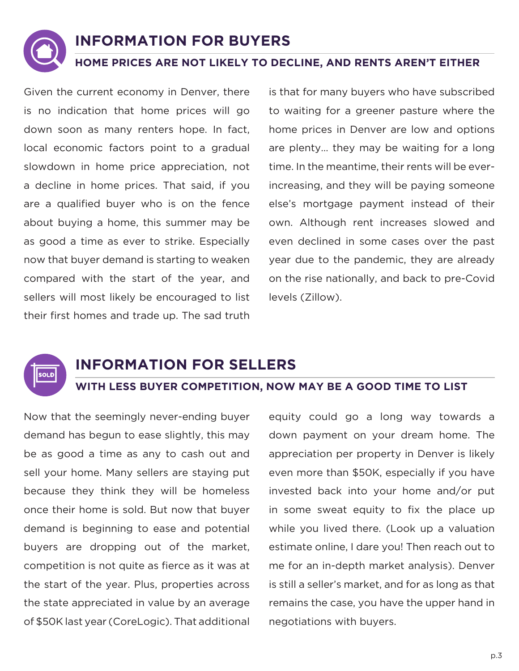## **INFORMATION FOR BUYERS**

#### **HOME PRICES ARE NOT LIKELY TO DECLINE, AND RENTS AREN'T EITHER**

Given the current economy in Denver, there is no indication that home prices will go down soon as many renters hope. In fact, local economic factors point to a gradual slowdown in home price appreciation, not a decline in home prices. That said, if you are a qualified buyer who is on the fence about buying a home, this summer may be as good a time as ever to strike. Especially now that buyer demand is starting to weaken compared with the start of the year, and sellers will most likely be encouraged to list their first homes and trade up. The sad truth

is that for many buyers who have subscribed to waiting for a greener pasture where the home prices in Denver are low and options are plenty… they may be waiting for a long time. In the meantime, their rents will be everincreasing, and they will be paying someone else's mortgage payment instead of their own. Although rent increases slowed and even declined in some cases over the past year due to the pandemic, they are already on the rise nationally, and back to pre-Covid levels (Zillow).



### **INFORMATION FOR SELLERS**

#### **WITH LESS BUYER COMPETITION, NOW MAY BE A GOOD TIME TO LIST**

Now that the seemingly never-ending buyer demand has begun to ease slightly, this may be as good a time as any to cash out and sell your home. Many sellers are staying put because they think they will be homeless once their home is sold. But now that buyer demand is beginning to ease and potential buyers are dropping out of the market, competition is not quite as fierce as it was at the start of the year. Plus, properties across the state appreciated in value by an average of \$50K last year (CoreLogic). That additional

equity could go a long way towards a down payment on your dream home. The appreciation per property in Denver is likely even more than \$50K, especially if you have invested back into your home and/or put in some sweat equity to fix the place up while you lived there. (Look up a valuation estimate online, I dare you! Then reach out to me for an in-depth market analysis). Denver is still a seller's market, and for as long as that remains the case, you have the upper hand in negotiations with buyers.